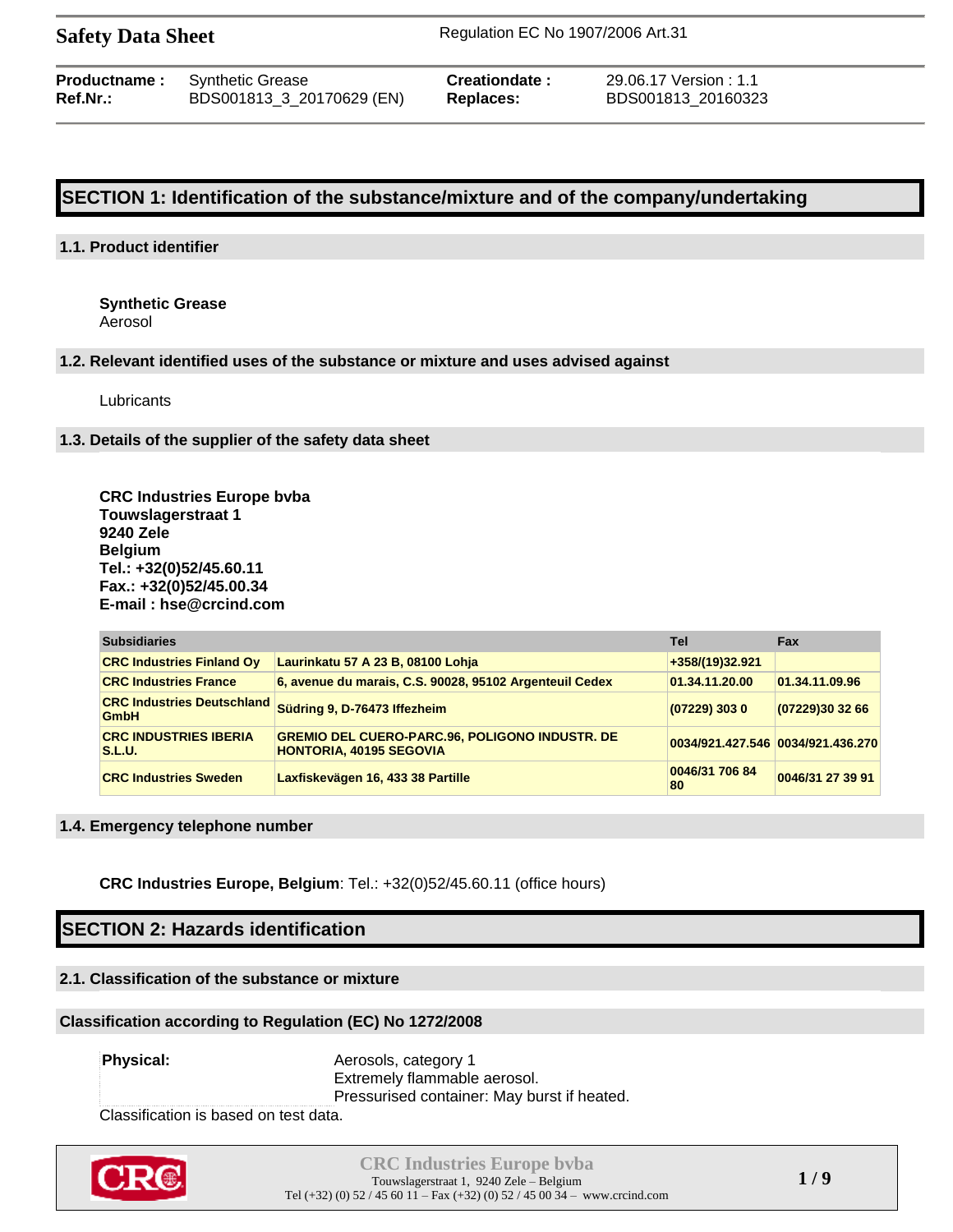|          | <b>Productname:</b> Synthetic Grease | Creationdate: | 29.06.17 Version : 1.1 |
|----------|--------------------------------------|---------------|------------------------|
| Ref.Nr.: | BDS001813_3_20170629 (EN)            | Replaces:     | BDS001813 20160323     |

## **SECTION 1: Identification of the substance/mixture and of the company/undertaking**

#### **1.1. Product identifier**

**Synthetic Grease** Aerosol

#### **1.2. Relevant identified uses of the substance or mixture and uses advised against**

Lubricants

#### **1.3. Details of the supplier of the safety data sheet**

**CRC Industries Europe bvba Touwslagerstraat 1 9240 Zele Belgium Tel.: +32(0)52/45.60.11 Fax.: +32(0)52/45.00.34 E-mail : hse@crcind.com**

| <b>Subsidiaries</b>                              |                                                                                         | Tel                               | <b>Fax</b>       |
|--------------------------------------------------|-----------------------------------------------------------------------------------------|-----------------------------------|------------------|
| <b>CRC Industries Finland Ov</b>                 | Laurinkatu 57 A 23 B, 08100 Lohja                                                       | +358/(19)32.921                   |                  |
| <b>CRC Industries France</b>                     | 6, avenue du marais, C.S. 90028, 95102 Argenteuil Cedex                                 | 01.34.11.20.00                    | 01.34.11.09.96   |
| <b>CRC Industries Deutschland</b><br><b>GmbH</b> | Südring 9, D-76473 Iffezheim                                                            | $(07229)$ 303 0                   | (07229)30 32 66  |
| <b>CRC INDUSTRIES IBERIA</b><br>S.L.U.           | <b>GREMIO DEL CUERO-PARC.96, POLIGONO INDUSTR. DE</b><br><b>HONTORIA, 40195 SEGOVIA</b> | 0034/921.427.546 0034/921.436.270 |                  |
| <b>CRC Industries Sweden</b>                     | Laxfiskevägen 16, 433 38 Partille                                                       | 0046/31 706 84<br>80              | 0046/31 27 39 91 |

#### **1.4. Emergency telephone number**

**CRC Industries Europe, Belgium**: Tel.: +32(0)52/45.60.11 (office hours)

## **SECTION 2: Hazards identification**

### **2.1. Classification of the substance or mixture**

### **Classification according to Regulation (EC) No 1272/2008**

**Physical:** Aerosols, category 1 Extremely flammable aerosol. Pressurised container: May burst if heated.

Classification is based on test data.

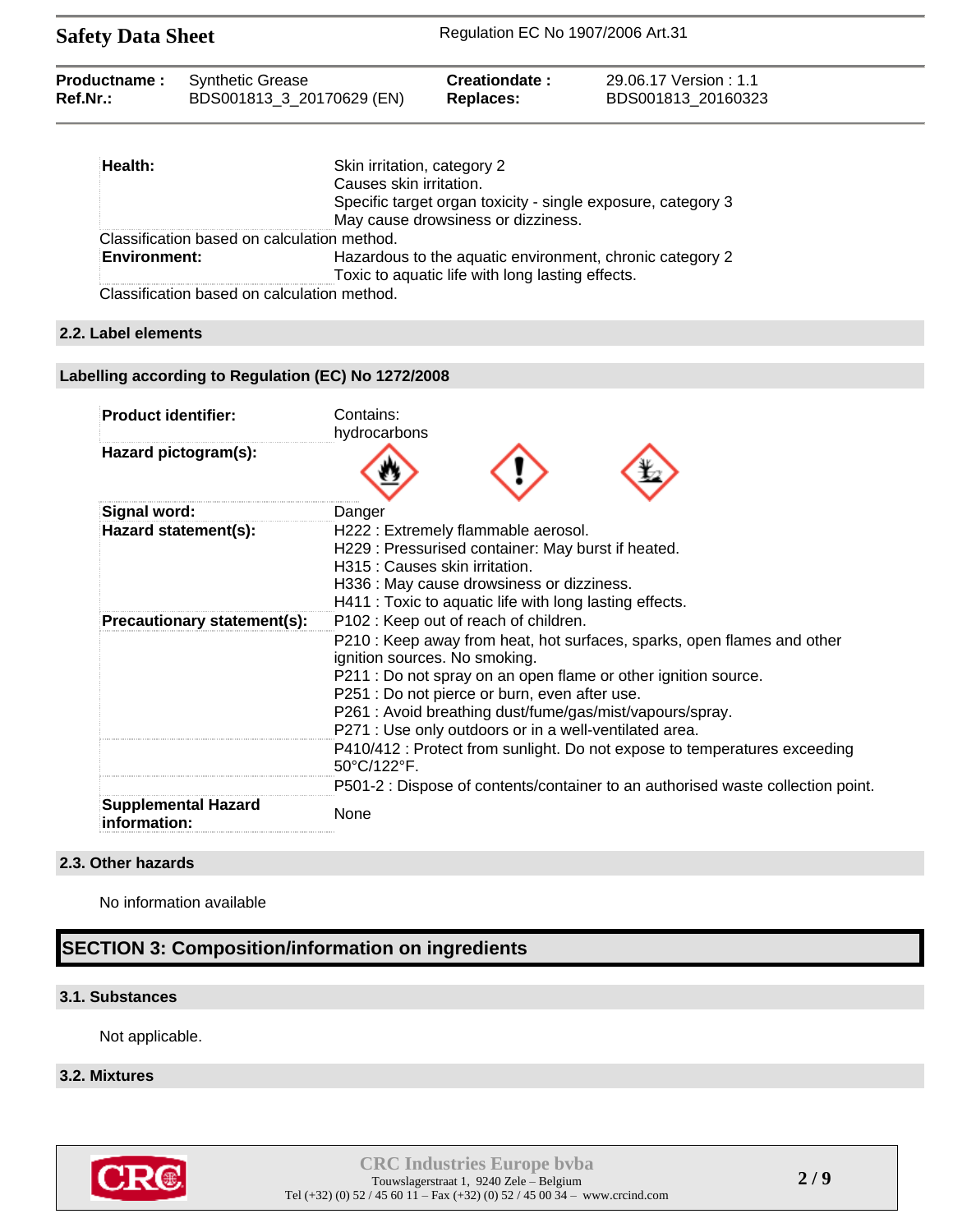| <b>Safety Data Sheet</b>               |                                                      | Regulation EC No 1907/2006 Art.31 |                                             |  |
|----------------------------------------|------------------------------------------------------|-----------------------------------|---------------------------------------------|--|
| <b>Productname:</b><br><b>Ref.Nr.:</b> | <b>Synthetic Grease</b><br>BDS001813 3 20170629 (EN) | Creationdate:<br>Replaces:        | 29.06.17 Version: 1.1<br>BDS001813 20160323 |  |
|                                        |                                                      |                                   |                                             |  |

| Health:                                     | Skin irritation, category 2                                                                                  |
|---------------------------------------------|--------------------------------------------------------------------------------------------------------------|
|                                             | Causes skin irritation.                                                                                      |
|                                             | Specific target organ toxicity - single exposure, category 3<br>May cause drowsiness or dizziness.           |
| Classification based on calculation method. |                                                                                                              |
| <b>Environment:</b>                         | Hazardous to the aquatic environment, chronic category 2<br>Toxic to aquatic life with long lasting effects. |
| Clossification boood on coloulation mothed  |                                                                                                              |

Classification based on calculation method.

#### **2.2. Label elements**

#### **Labelling according to Regulation (EC) No 1272/2008**

| <b>Product identifier:</b>                 | Contains:<br>hydrocarbons                                                                                                                                                                                                                                                                                                                                                                                                                                                                                                                                               |
|--------------------------------------------|-------------------------------------------------------------------------------------------------------------------------------------------------------------------------------------------------------------------------------------------------------------------------------------------------------------------------------------------------------------------------------------------------------------------------------------------------------------------------------------------------------------------------------------------------------------------------|
| Hazard pictogram(s):                       |                                                                                                                                                                                                                                                                                                                                                                                                                                                                                                                                                                         |
| Signal word:                               | Danger                                                                                                                                                                                                                                                                                                                                                                                                                                                                                                                                                                  |
| Hazard statement(s):                       | H222 : Extremely flammable aerosol.<br>H229: Pressurised container: May burst if heated.<br>H315 : Causes skin irritation.<br>H336 : May cause drowsiness or dizziness.<br>H411 : Toxic to aquatic life with long lasting effects.                                                                                                                                                                                                                                                                                                                                      |
| Precautionary statement(s):                | P102: Keep out of reach of children.<br>P210 : Keep away from heat, hot surfaces, sparks, open flames and other<br>ignition sources. No smoking.<br>P211 : Do not spray on an open flame or other ignition source.<br>P251 : Do not pierce or burn, even after use.<br>P261: Avoid breathing dust/fume/gas/mist/vapours/spray.<br>P271 : Use only outdoors or in a well-ventilated area.<br>P410/412 : Protect from sunlight. Do not expose to temperatures exceeding<br>50°C/122°F.<br>P501-2 : Dispose of contents/container to an authorised waste collection point. |
| <b>Supplemental Hazard</b><br>information: | None                                                                                                                                                                                                                                                                                                                                                                                                                                                                                                                                                                    |

#### **2.3. Other hazards**

No information available

## **SECTION 3: Composition/information on ingredients**

### **3.1. Substances**

Not applicable.

#### **3.2. Mixtures**

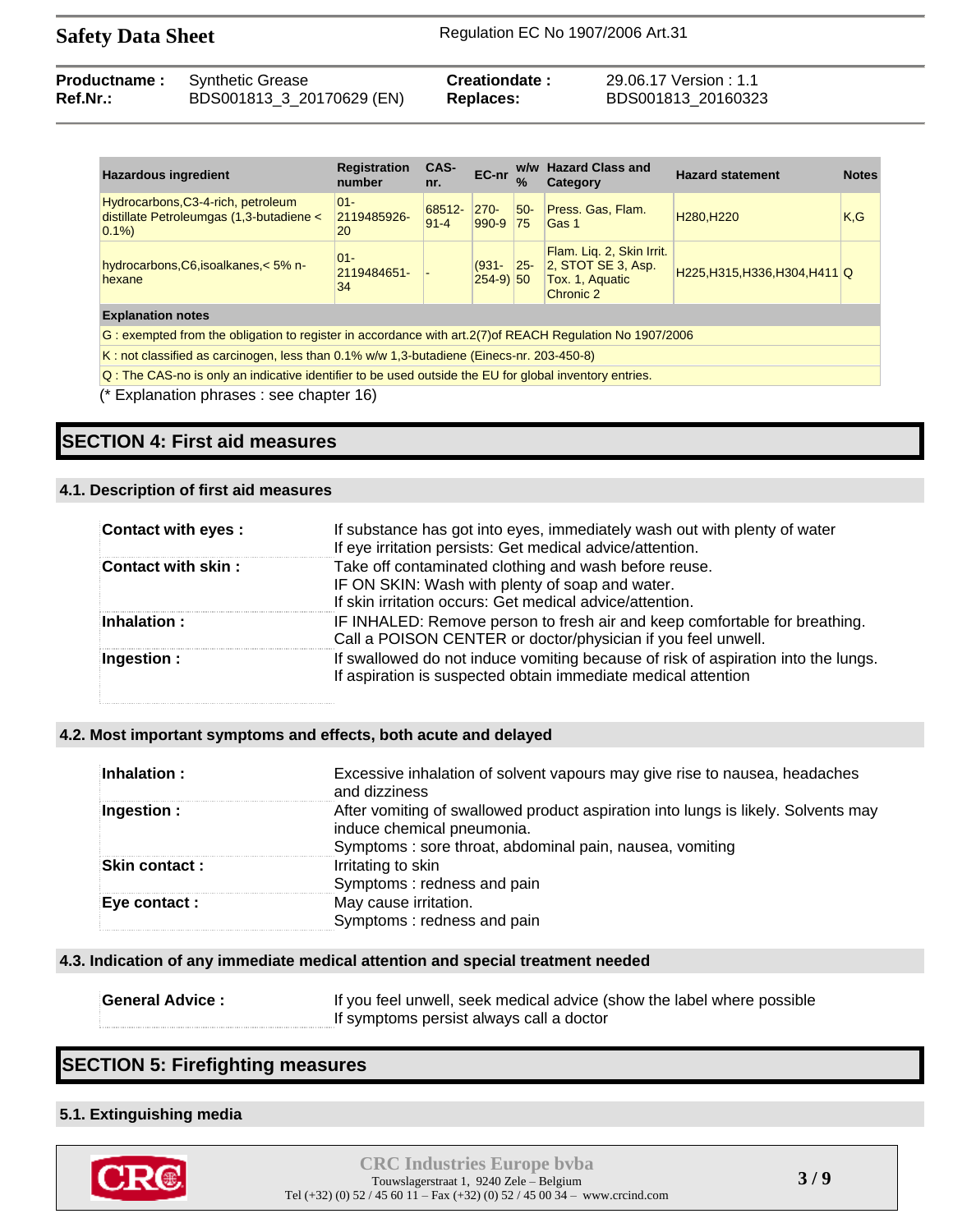| <b>Hazardous ingredient</b>                                                                               | <b>Registration</b><br>number | CAS-<br>nr.        | EC-nr                  | $\frac{9}{6}$ | w/w Hazard Class and<br>Category                                                | <b>Hazard statement</b>             | <b>Notes</b> |
|-----------------------------------------------------------------------------------------------------------|-------------------------------|--------------------|------------------------|---------------|---------------------------------------------------------------------------------|-------------------------------------|--------------|
| Hydrocarbons, C3-4-rich, petroleum<br>distillate Petroleumgas (1,3-butadiene <<br>0.1%                    | $ 01 -$<br>2119485926-<br>20  | 68512-<br>$91 - 4$ | $270 -$<br>990-9       | $50-$<br> 75  | Press. Gas, Flam.<br>Gas 1                                                      | H <sub>280</sub> , H <sub>220</sub> | K.G          |
| hydrocarbons, C6, isoalkanes, < 5% n-<br>hexane                                                           | $ 01 -$<br>2119484651-<br>34  |                    | $(931 -$<br>$254-9$ 50 | $ 25-$        | Flam. Lig. 2, Skin Irrit.<br>2, STOT SE 3, Asp.<br>Tox. 1, Aquatic<br>Chronic 2 | H225, H315, H336, H304, H411 Q      |              |
| <b>Explanation notes</b>                                                                                  |                               |                    |                        |               |                                                                                 |                                     |              |
| G: exempted from the obligation to register in accordance with art. 2(7) of REACH Regulation No 1907/2006 |                               |                    |                        |               |                                                                                 |                                     |              |
| K: not classified as carcinogen, less than 0.1% w/w 1,3-butadiene (Einecs-nr. 203-450-8)                  |                               |                    |                        |               |                                                                                 |                                     |              |

Q : The CAS-no is only an indicative identifier to be used outside the EU for global inventory entries.

(\* Explanation phrases : see chapter 16)

## **SECTION 4: First aid measures**

### **4.1. Description of first aid measures**

| Contact with eyes : | If substance has got into eyes, immediately wash out with plenty of water<br>If eye irritation persists: Get medical advice/attention.                               |
|---------------------|----------------------------------------------------------------------------------------------------------------------------------------------------------------------|
| Contact with skin:  | Take off contaminated clothing and wash before reuse.<br>IF ON SKIN: Wash with plenty of soap and water.<br>If skin irritation occurs: Get medical advice/attention. |
| Inhalation:         | IF INHALED: Remove person to fresh air and keep comfortable for breathing.<br>Call a POISON CENTER or doctor/physician if you feel unwell.                           |
| Ingestion :         | If swallowed do not induce vomiting because of risk of aspiration into the lungs.<br>If aspiration is suspected obtain immediate medical attention                   |

### **4.2. Most important symptoms and effects, both acute and delayed**

| Inhalation :          | Excessive inhalation of solvent vapours may give rise to nausea, headaches<br>and dizziness                                                                                |
|-----------------------|----------------------------------------------------------------------------------------------------------------------------------------------------------------------------|
| Ingestion :           | After vomiting of swallowed product aspiration into lungs is likely. Solvents may<br>induce chemical pneumonia.<br>Symptoms: sore throat, abdominal pain, nausea, vomiting |
| <b>Skin contact :</b> | Irritating to skin<br>Symptoms: redness and pain                                                                                                                           |
| Eye contact :         | May cause irritation.<br>Symptoms: redness and pain                                                                                                                        |

### **4.3. Indication of any immediate medical attention and special treatment needed**

| <b>General Advice:</b> | If you feel unwell, seek medical advice (show the label where possible |
|------------------------|------------------------------------------------------------------------|
|                        | If symptoms persist always call a doctor                               |

## **SECTION 5: Firefighting measures**

## **5.1. Extinguishing media**

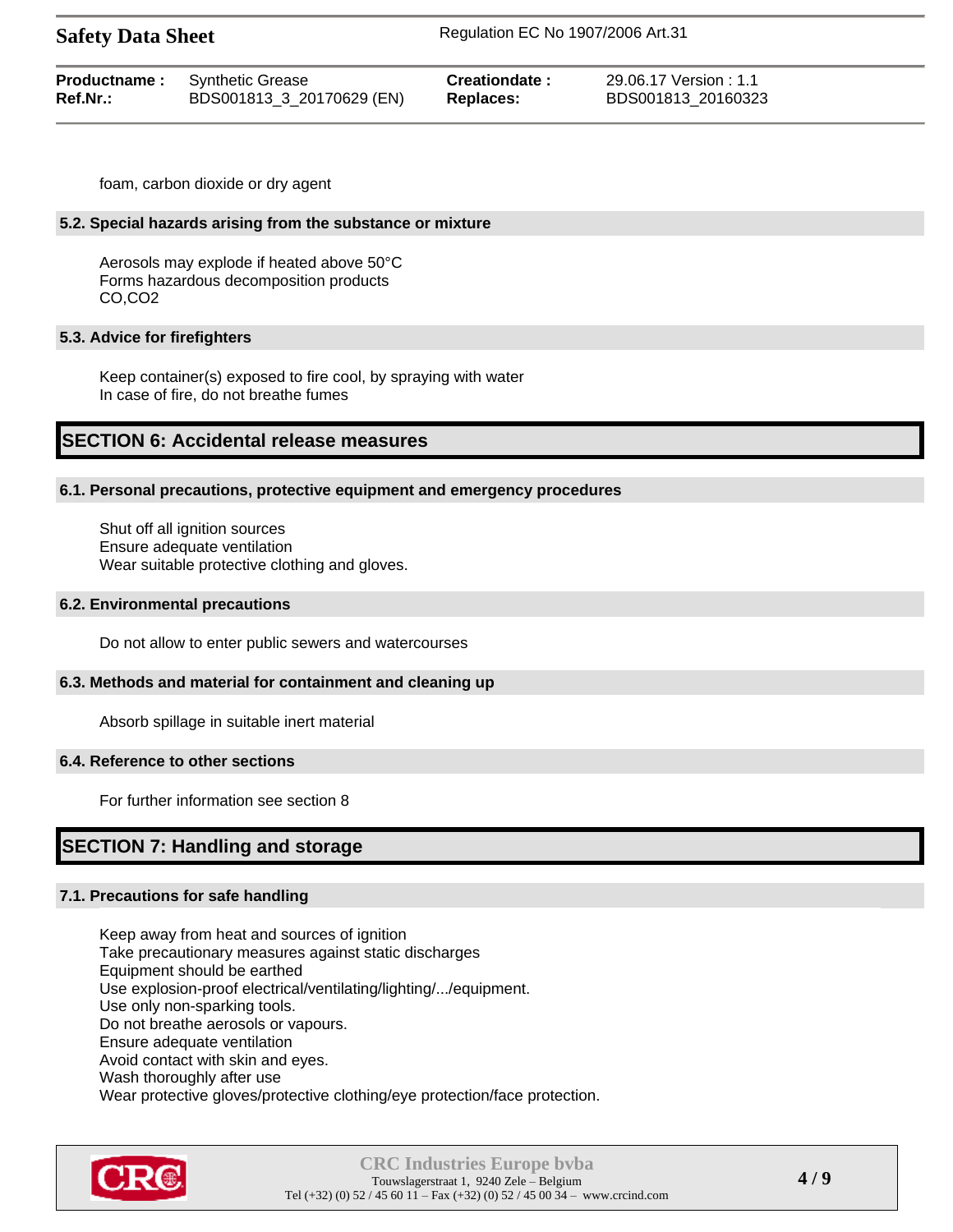| <b>Safety Data Sheet</b> |  |  |
|--------------------------|--|--|
|--------------------------|--|--|

| <b>Productname:</b> Synthetic Grease |                           | Creationdate: | 29.06.17 Version : 1.1 |
|--------------------------------------|---------------------------|---------------|------------------------|
| $Ref.Nr.$ :                          | BDS001813_3_20170629 (EN) | Replaces:     | BDS001813 20160323     |

foam, carbon dioxide or dry agent

#### **5.2. Special hazards arising from the substance or mixture**

Aerosols may explode if heated above 50°C Forms hazardous decomposition products CO,CO2

#### **5.3. Advice for firefighters**

Keep container(s) exposed to fire cool, by spraying with water In case of fire, do not breathe fumes

## **SECTION 6: Accidental release measures**

#### **6.1. Personal precautions, protective equipment and emergency procedures**

Shut off all ignition sources Ensure adequate ventilation Wear suitable protective clothing and gloves.

#### **6.2. Environmental precautions**

Do not allow to enter public sewers and watercourses

#### **6.3. Methods and material for containment and cleaning up**

Absorb spillage in suitable inert material

#### **6.4. Reference to other sections**

For further information see section 8

## **SECTION 7: Handling and storage**

#### **7.1. Precautions for safe handling**

Keep away from heat and sources of ignition Take precautionary measures against static discharges Equipment should be earthed Use explosion-proof electrical/ventilating/lighting/.../equipment. Use only non-sparking tools. Do not breathe aerosols or vapours. Ensure adequate ventilation Avoid contact with skin and eyes. Wash thoroughly after use Wear protective gloves/protective clothing/eye protection/face protection.

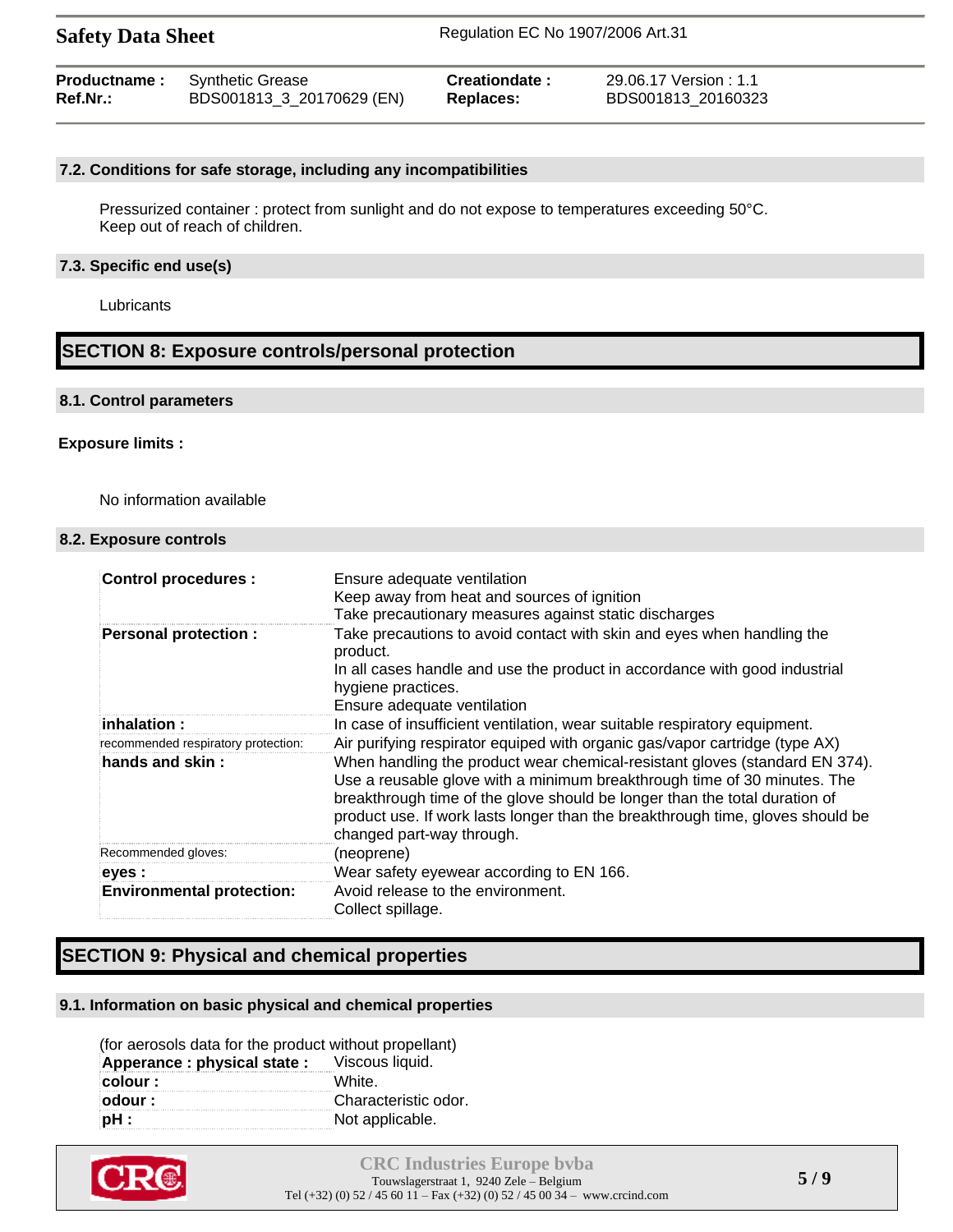| <b>Safety Data Sheet</b> |                           | Regulation EC No 1907/2006 Art.31 |                        |  |
|--------------------------|---------------------------|-----------------------------------|------------------------|--|
| <b>Productname:</b>      | <b>Synthetic Grease</b>   | Creationdate:                     | 29.06.17 Version : 1.1 |  |
| Ref.Nr.:                 | BDS001813_3_20170629 (EN) | Replaces:                         | BDS001813 20160323     |  |

#### **7.2. Conditions for safe storage, including any incompatibilities**

Pressurized container : protect from sunlight and do not expose to temperatures exceeding 50°C. Keep out of reach of children.

#### **7.3. Specific end use(s)**

**Lubricants** 

#### **SECTION 8: Exposure controls/personal protection**

#### **8.1. Control parameters**

#### **Exposure limits :**

No information available

#### **8.2. Exposure controls**

| <b>Control procedures:</b>          | Ensure adequate ventilation<br>Keep away from heat and sources of ignition<br>Take precautionary measures against static discharges                                                                                                                                                                                                                  |
|-------------------------------------|------------------------------------------------------------------------------------------------------------------------------------------------------------------------------------------------------------------------------------------------------------------------------------------------------------------------------------------------------|
| <b>Personal protection:</b>         | Take precautions to avoid contact with skin and eyes when handling the<br>product.<br>In all cases handle and use the product in accordance with good industrial<br>hygiene practices.<br>Ensure adequate ventilation                                                                                                                                |
| inhalation:                         | In case of insufficient ventilation, wear suitable respiratory equipment.                                                                                                                                                                                                                                                                            |
| recommended respiratory protection: | Air purifying respirator equiped with organic gas/vapor cartridge (type AX)                                                                                                                                                                                                                                                                          |
| hands and skin:                     | When handling the product wear chemical-resistant gloves (standard EN 374).<br>Use a reusable glove with a minimum breakthrough time of 30 minutes. The<br>breakthrough time of the glove should be longer than the total duration of<br>product use. If work lasts longer than the breakthrough time, gloves should be<br>changed part-way through. |
| Recommended gloves:                 | (neoprene)                                                                                                                                                                                                                                                                                                                                           |
| eyes :                              | Wear safety eyewear according to EN 166.                                                                                                                                                                                                                                                                                                             |
| <b>Environmental protection:</b>    | Avoid release to the environment.<br>Collect spillage.                                                                                                                                                                                                                                                                                               |

## **SECTION 9: Physical and chemical properties**

#### **9.1. Information on basic physical and chemical properties**

| (for aerosols data for the product without propellant) |                      |
|--------------------------------------------------------|----------------------|
| Apperance: physical state: Viscous liquid.             |                      |
| colour :                                               | White.               |
| odour :                                                | Characteristic odor. |
| $pH$ :                                                 | Not applicable.      |

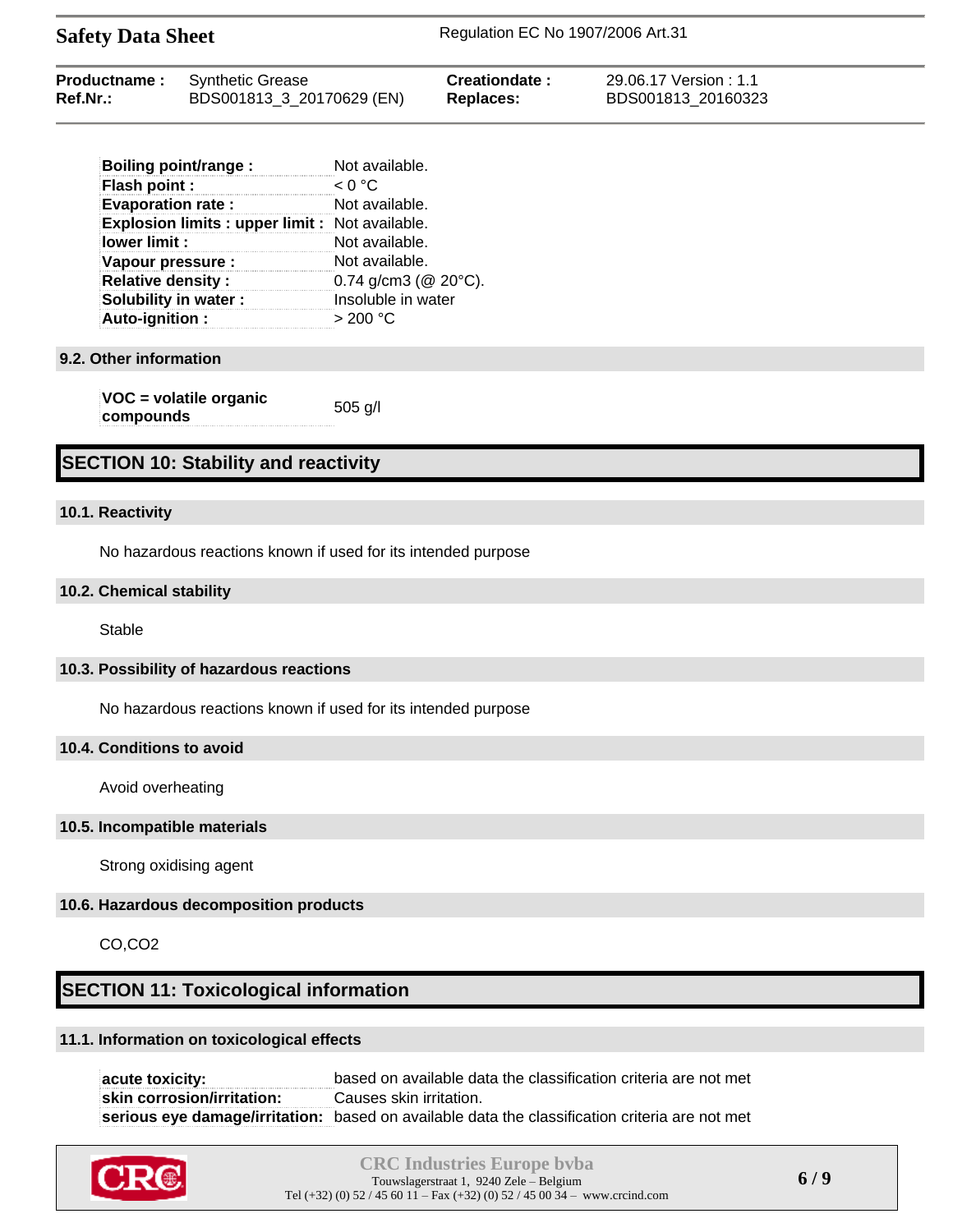| <b>Productname:</b> | <b>Synthetic Grease</b>   | Creationdate:    | 29.06.17 Version : 1.1 |  |
|---------------------|---------------------------|------------------|------------------------|--|
| <b>Ref.Nr.:</b>     | BDS001813_3_20170629 (EN) | <b>Replaces:</b> | BDS001813 20160323     |  |

| Boiling point/range :                           | Not available.              |
|-------------------------------------------------|-----------------------------|
| <b>Flash point:</b>                             | < 0 °C                      |
| <b>Evaporation rate:</b>                        | Not available.              |
| Explosion limits : upper limit : Not available. |                             |
| lower limit :                                   | Not available.              |
| Vapour pressure :                               | Not available.              |
| <b>Relative density:</b>                        | 0.74 g/cm3 ( $@$ 20 $°C$ ). |
| Solubility in water:                            | Insoluble in water          |
| Auto-ignition:                                  | > 200 °C                    |

#### **9.2. Other information**

**VOC = volatile organic compounds** 505 g/l

#### **SECTION 10: Stability and reactivity**

#### **10.1. Reactivity**

No hazardous reactions known if used for its intended purpose

#### **10.2. Chemical stability**

Stable

#### **10.3. Possibility of hazardous reactions**

No hazardous reactions known if used for its intended purpose

#### **10.4. Conditions to avoid**

Avoid overheating

#### **10.5. Incompatible materials**

Strong oxidising agent

#### **10.6. Hazardous decomposition products**

CO,CO2

#### **SECTION 11: Toxicological information**

#### **11.1. Information on toxicological effects**

**acute toxicity:** based on available data the classification criteria are not met **skin corrosion/irritation:** Causes skin irritation. **serious eye damage/irritation:** based on available data the classification criteria are not met

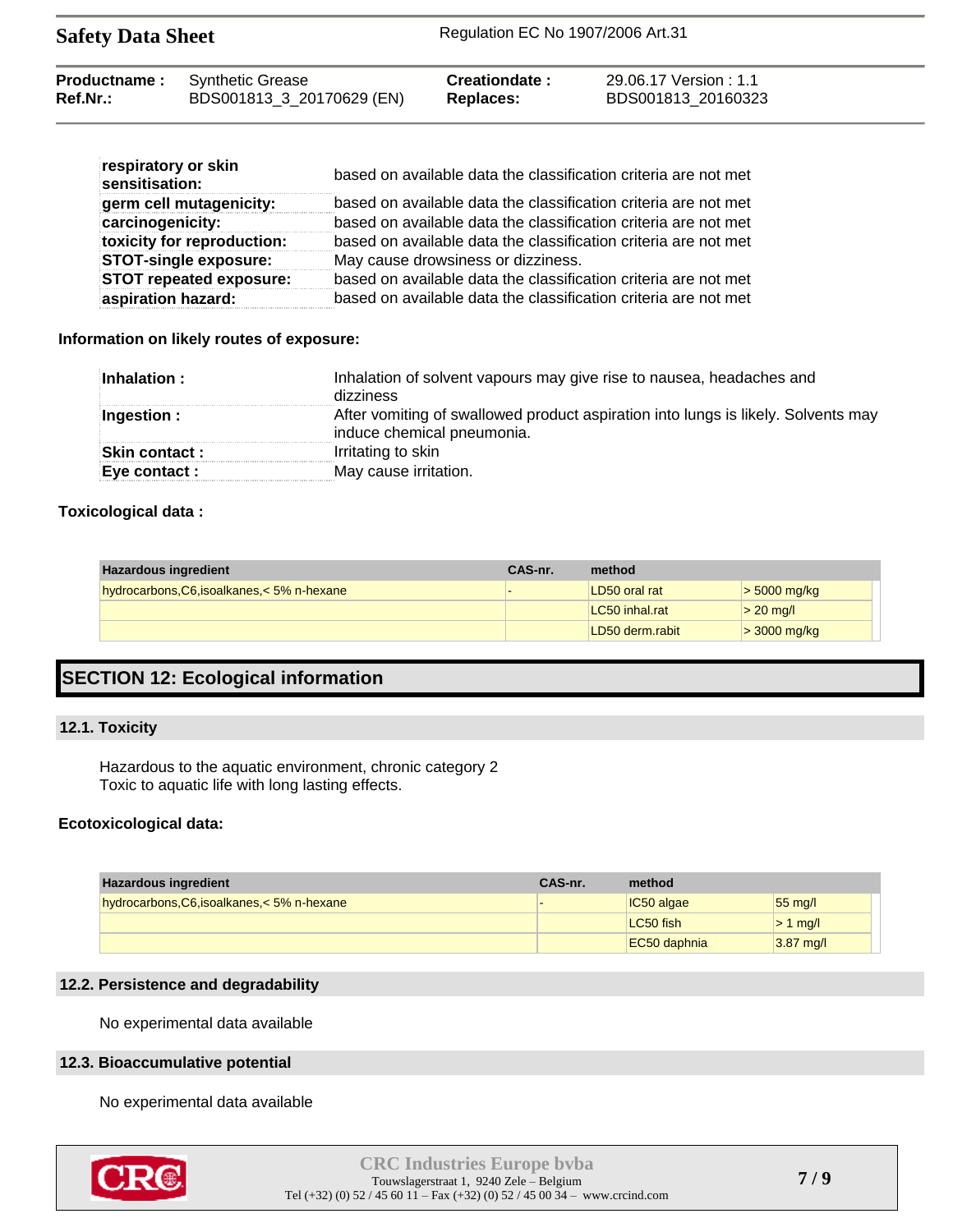| <b>Productname:</b> | Synthetic Grease          | Creationdate: | 29.06.17 Version : 1.1 |
|---------------------|---------------------------|---------------|------------------------|
| Ref.Nr.:            | BDS001813_3_20170629 (EN) | Replaces:     | BDS001813 20160323     |

| respiratory or skin<br>sensitisation: | based on available data the classification criteria are not met |
|---------------------------------------|-----------------------------------------------------------------|
| germ cell mutagenicity:               | based on available data the classification criteria are not met |
| carcinogenicity:                      | based on available data the classification criteria are not met |
| toxicity for reproduction:            | based on available data the classification criteria are not met |
| <b>STOT-single exposure:</b>          | May cause drowsiness or dizziness.                              |
| <b>STOT repeated exposure:</b>        | based on available data the classification criteria are not met |
| aspiration hazard:                    | based on available data the classification criteria are not met |

#### **Information on likely routes of exposure:**

| Inhalation :   | Inhalation of solvent vapours may give rise to nausea, headaches and<br>dizziness                               |
|----------------|-----------------------------------------------------------------------------------------------------------------|
| Ingestion :    | After vomiting of swallowed product aspiration into lungs is likely. Solvents may<br>induce chemical pneumonia. |
| Skin contact : | Irritating to skin                                                                                              |
| Eye contact :  | May cause irritation.                                                                                           |
|                |                                                                                                                 |

#### **Toxicological data :**

| <b>Hazardous ingredient</b>                 | CAS-nr. | method          |                |
|---------------------------------------------|---------|-----------------|----------------|
| hydrocarbons, C6, isoalkanes, < 5% n-hexane |         | LD50 oral rat   | $>$ 5000 mg/kg |
|                                             |         | LC50 inhal.rat  | $> 20$ mg/l    |
|                                             |         | LD50 derm.rabit | $>$ 3000 mg/kg |

## **SECTION 12: Ecological information**

#### **12.1. Toxicity**

Hazardous to the aquatic environment, chronic category 2 Toxic to aquatic life with long lasting effects.

#### **Ecotoxicological data:**

| <b>Hazardous ingredient</b>                 | CAS-nr. | method       |                   |
|---------------------------------------------|---------|--------------|-------------------|
| hydrocarbons, C6, isoalkanes, < 5% n-hexane |         | $IC50$ algae | $55 \text{ mg/l}$ |
|                                             |         | LC50 fish    | $> 1$ mg/         |
|                                             |         | EC50 daphnia | $3.87$ mg/l       |

#### **12.2. Persistence and degradability**

No experimental data available

#### **12.3. Bioaccumulative potential**

No experimental data available

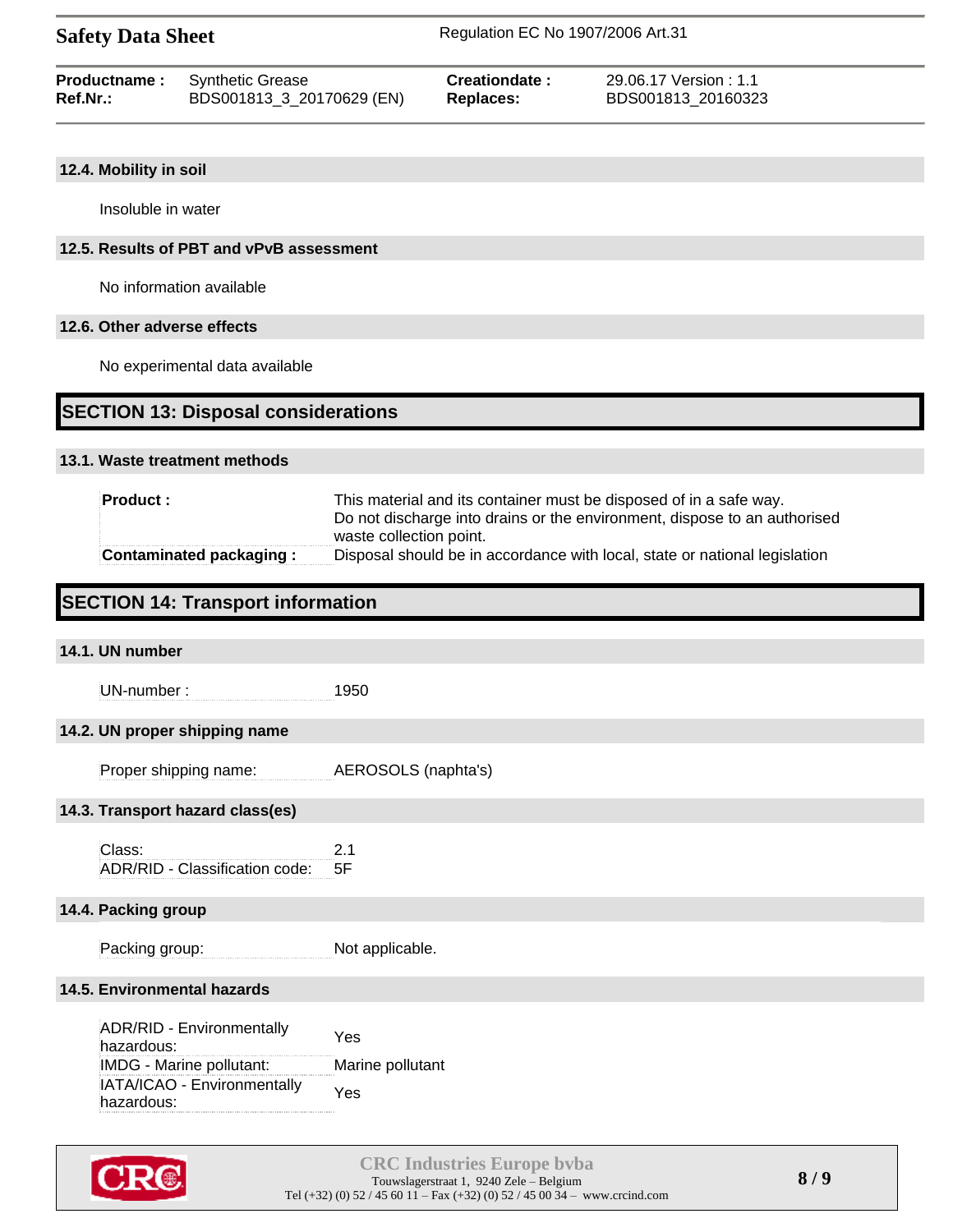#### **12.4. Mobility in soil**

Insoluble in water

#### **12.5. Results of PBT and vPvB assessment**

No information available

#### **12.6. Other adverse effects**

No experimental data available

## **SECTION 13: Disposal considerations**

#### **13.1. Waste treatment methods**

| <b>Product:</b>                | This material and its container must be disposed of in a safe way.<br>Do not discharge into drains or the environment, dispose to an authorised<br>waste collection point. |
|--------------------------------|----------------------------------------------------------------------------------------------------------------------------------------------------------------------------|
| <b>Contaminated packaging:</b> | Disposal should be in accordance with local, state or national legislation                                                                                                 |

## **SECTION 14: Transport information**

# **14.1. UN number** UN-number : 1950 **14.2. UN proper shipping name** Proper shipping name: AEROSOLS (naphta's) **14.3. Transport hazard class(es)** Class: 2.1 ADR/RID - Classification code: 5F **14.4. Packing group** Packing group: Not applicable. **14.5. Environmental hazards** ADR/RID - Environmentally hazardous: Yes

IMDG - Marine pollutant: Marine pollutant IATA/ICAO - Environmentally hazardous: hazardous: